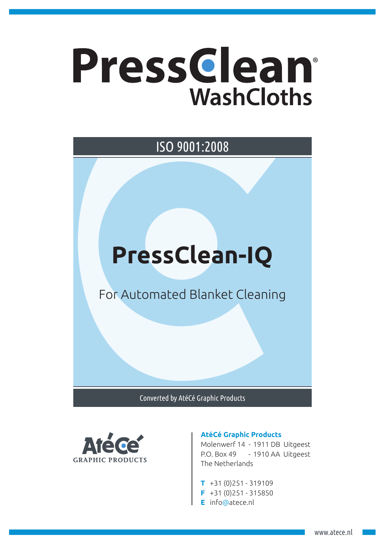## Pressclean® **WashCloths**

## **PressClean-IQ** For Automated Blanket Cleaning ISO 9001:2008

Converted by AtéCé Graphic Products



## **AtéCé Graphic Products**

Molenwerf 14 - 1911 DB Uitgeest P.O. Box 49 - 1910 AA Uitgeest The Netherlands

- **T** +31 (0)251 319109
- **F** +31 (0)251 315850
- **E** info@atece.nl